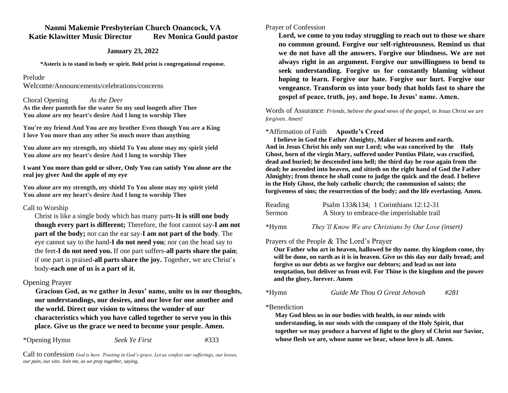## **Naomi Makemie Presbyterian Church Onancock, VA Katie Klawitter Music Director Rev Monica Gould pastor**

### **January 23, 2022**

**\*Asterix is to stand in body or spirit. Bold print is congregational response.**

#### Prelude

Welcome/Announcements/celebrations/concerns

### Choral Opening *As the Deer*

**As the deer panteth for the water So my soul longeth after Thee You alone are my heart's desire And I long to worship Thee**

**You're my friend And You are my brother Even though You are a King I love You more than any other So much more than anything**

**You alone are my strength, my shield To You alone may my spirit yield You alone are my heart's desire And I long to worship Thee**

#### **I want You more than gold or silver, Only You can satisfy You alone are the real joy giver And the apple of my eye**

**You alone are my strength, my shield To You alone may my spirit yield You alone are my heart's desire And I long to worship Thee**

### Call to Worship

Christ is like a single body which has many parts-**It is still one body though every part is different;** Therefore, the foot cannot say**-I am not part of the body;** nor can the ear say-**I am not part of the body**. The eye cannot say to the hand-**I do not need you**; nor can the head say to the feet**-I do not need you.** If one part suffers-**all parts share the pain**; if one part is praised-**all parts share the joy.** Together, we are Christ's body-**each one of us is a part of it.** 

## Opening Prayer

 **Gracious God, as we gather in Jesus' name, unite us in our thoughts, our understandings, our desires, and our love for one another and the world. Direct our vision to witness the wonder of our characteristics which you have called together to serve you in this place. Give us the grace we need to become your people. Amen.** 

\*Opening Hymn *Seek Ye First* #333

Call to confession *God is here. Trusting in God's grace, Let us confess our sufferings, our losses, our pain, our sins. Join me, as we pray together, saying,*

## Prayer of Confession

**Lord, we come to you today struggling to reach out to those we share no common ground. Forgive our self-righteousness. Remind us that we do not have all the answers. Forgive our blindness. We are not always right in an argument. Forgive our unwillingness to bend to seek understanding. Forgive us for constantly blaming without hoping to learn. Forgive our hate. Forgive our hurt. Forgive our vengeance. Transform us into your body that holds fast to share the gospel of peace, truth, joy, and hope. In Jesus' name. Amen.** 

Words of Assurance*: Friends, believe the good news of the gospel, in Jesus Christ we are forgiven. Amen!*

# \*Affirmation of Faith **Apostle's Creed**

 **I believe in God the Father Almighty, Maker of heaven and earth. And in Jesus Christ his only son our Lord; who was conceived by the Holy Ghost, born of the virgin Mary, suffered under Pontius Pilate, was crucified, dead and buried; he descended into hell; the third day he rose again from the dead; he ascended into heaven, and sitteth on the right hand of God the Father Almighty; from thence he shall come to judge the quick and the dead. I believe in the Holy Ghost, the holy catholic church; the communion of saints; the forgiveness of sins; the resurrection of the body; and the life everlasting. Amen.**

| Reading     | Psalm 133&134; 1 Corinthians 12:12-31     |  |  |  |  |  |  |  |  |  |  |
|-------------|-------------------------------------------|--|--|--|--|--|--|--|--|--|--|
| Sermon      | A Story to embrace-the imperishable trail |  |  |  |  |  |  |  |  |  |  |
| $\cdot$ $-$ |                                           |  |  |  |  |  |  |  |  |  |  |

\*Hymn *They'll Know We are Christians by Our Love (insert)*

# Prayers of the People & The Lord's Prayer

**Our Father who art in heaven, hallowed be thy name. thy kingdom come, thy will be done, on earth as it is in heaven. Give us this day our daily bread; and forgive us our debts as we forgive our debtors; and lead us not into temptation, but deliver us from evil. For Thine is the kingdom and the power and the glory, forever. Amen**

## \*Hymn *Guide Me Thou O Great Jehovah #281*

\*Benediction

**May God bless us in our bodies with health, in our minds with understanding, in our souls with the company of the Holy Spirit, that together we may produce a harvest of light to the glory of Christ our Savior, whose flesh we are, whose name we bear, whose love is all. Amen.**